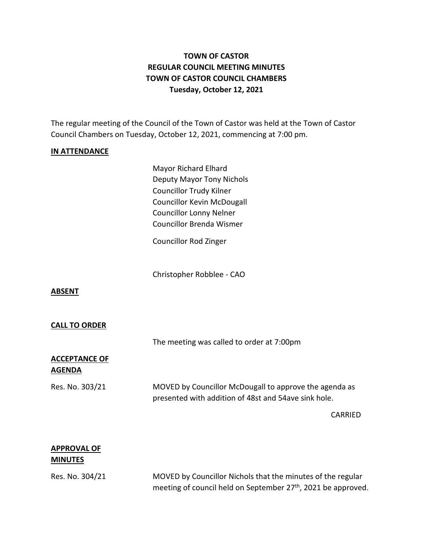# **TOWN OF CASTOR REGULAR COUNCIL MEETING MINUTES TOWN OF CASTOR COUNCIL CHAMBERS Tuesday, October 12, 2021**

The regular meeting of the Council of the Town of Castor was held at the Town of Castor Council Chambers on Tuesday, October 12, 2021, commencing at 7:00 pm.

### **IN ATTENDANCE**

Mayor Richard Elhard Deputy Mayor Tony Nichols Councillor Trudy Kilner Councillor Kevin McDougall Councillor Lonny Nelner Councillor Brenda Wismer

Councillor Rod Zinger

Christopher Robblee - CAO

#### **ABSENT**

#### **CALL TO ORDER**

The meeting was called to order at 7:00pm

### **ACCEPTANCE OF AGENDA**

Res. No. 303/21 MOVED by Councillor McDougall to approve the agenda as presented with addition of 48st and 54ave sink hole.

CARRIED

### **APPROVAL OF MINUTES**

Res. No. 304/21 MOVED by Councillor Nichols that the minutes of the regular meeting of council held on September 27<sup>th</sup>, 2021 be approved.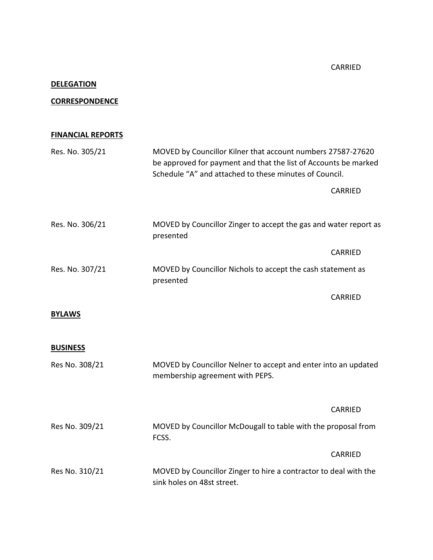CARRIED

# **DELEGATION**

### **CORRESPONDENCE**

# **FINANCIAL REPORTS**

| Res. No. 305/21 | MOVED by Councillor Kilner that account numbers 27587-27620<br>be approved for payment and that the list of Accounts be marked<br>Schedule "A" and attached to these minutes of Council. |                |
|-----------------|------------------------------------------------------------------------------------------------------------------------------------------------------------------------------------------|----------------|
|                 |                                                                                                                                                                                          | <b>CARRIED</b> |
| Res. No. 306/21 | MOVED by Councillor Zinger to accept the gas and water report as<br>presented                                                                                                            |                |
|                 |                                                                                                                                                                                          | CARRIED        |
| Res. No. 307/21 | MOVED by Councillor Nichols to accept the cash statement as<br>presented                                                                                                                 |                |
|                 |                                                                                                                                                                                          | CARRIED        |
| <b>BYLAWS</b>   |                                                                                                                                                                                          |                |
| <b>BUSINESS</b> |                                                                                                                                                                                          |                |
| Res No. 308/21  | MOVED by Councillor Nelner to accept and enter into an updated<br>membership agreement with PEPS.                                                                                        |                |
|                 |                                                                                                                                                                                          | CARRIED        |
| Res No. 309/21  | MOVED by Councillor McDougall to table with the proposal from<br>FCSS.                                                                                                                   |                |
|                 |                                                                                                                                                                                          | CARRIED        |
| Res No. 310/21  | MOVED by Councillor Zinger to hire a contractor to deal with the<br>sink holes on 48st street.                                                                                           |                |